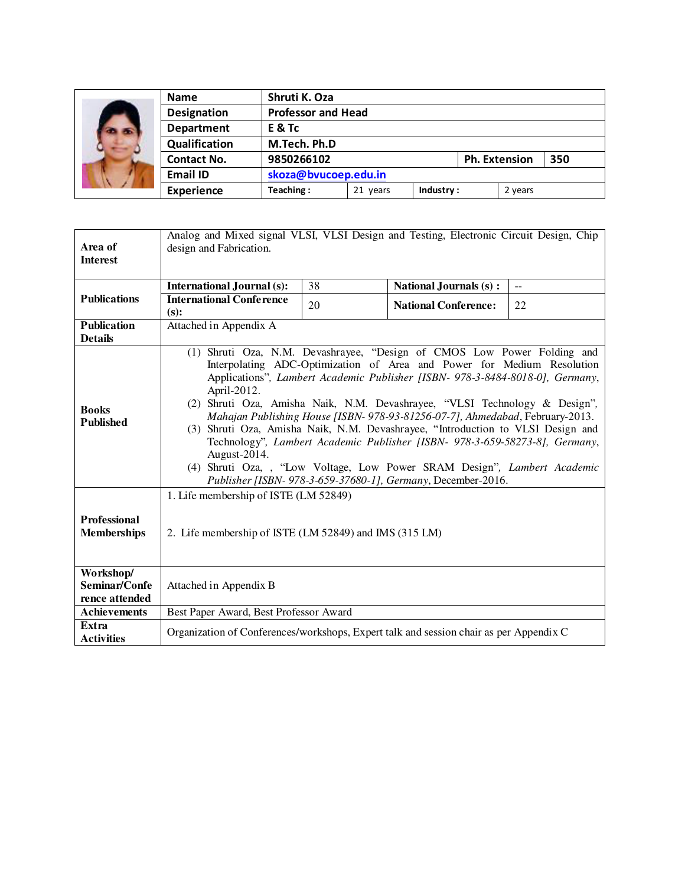|  | <b>Name</b>        | Shruti K. Oza             |          |           |                             |         |  |
|--|--------------------|---------------------------|----------|-----------|-----------------------------|---------|--|
|  | <b>Designation</b> | <b>Professor and Head</b> |          |           |                             |         |  |
|  | <b>Department</b>  | E & Tc                    |          |           |                             |         |  |
|  | Qualification      | M.Tech. Ph.D              |          |           |                             |         |  |
|  | <b>Contact No.</b> | 9850266102                |          |           | <b>Ph. Extension</b><br>350 |         |  |
|  | <b>Email ID</b>    | skoza@bvucoep.edu.in      |          |           |                             |         |  |
|  | <b>Experience</b>  | Teaching:                 | 21 years | Industry: |                             | 2 years |  |

|                                              | Analog and Mixed signal VLSI, VLSI Design and Testing, Electronic Circuit Design, Chip                                                                                                                                                                                                                                                                                                                                                                                                                                                                                                                                                                                                                                                        |    |                               |                         |  |  |  |  |  |
|----------------------------------------------|-----------------------------------------------------------------------------------------------------------------------------------------------------------------------------------------------------------------------------------------------------------------------------------------------------------------------------------------------------------------------------------------------------------------------------------------------------------------------------------------------------------------------------------------------------------------------------------------------------------------------------------------------------------------------------------------------------------------------------------------------|----|-------------------------------|-------------------------|--|--|--|--|--|
| Area of<br><b>Interest</b>                   | design and Fabrication.                                                                                                                                                                                                                                                                                                                                                                                                                                                                                                                                                                                                                                                                                                                       |    |                               |                         |  |  |  |  |  |
|                                              |                                                                                                                                                                                                                                                                                                                                                                                                                                                                                                                                                                                                                                                                                                                                               |    |                               |                         |  |  |  |  |  |
| <b>Publications</b>                          | <b>International Journal (s):</b>                                                                                                                                                                                                                                                                                                                                                                                                                                                                                                                                                                                                                                                                                                             | 38 | <b>National Journals (s):</b> | $\mathbb{L} \mathbb{L}$ |  |  |  |  |  |
|                                              | <b>International Conference</b><br>$(s)$ :                                                                                                                                                                                                                                                                                                                                                                                                                                                                                                                                                                                                                                                                                                    | 20 | <b>National Conference:</b>   | 22                      |  |  |  |  |  |
| <b>Publication</b><br><b>Details</b>         | Attached in Appendix A                                                                                                                                                                                                                                                                                                                                                                                                                                                                                                                                                                                                                                                                                                                        |    |                               |                         |  |  |  |  |  |
| <b>Books</b><br><b>Published</b>             | (1) Shruti Oza, N.M. Devashrayee, "Design of CMOS Low Power Folding and<br>Interpolating ADC-Optimization of Area and Power for Medium Resolution<br>Applications", Lambert Academic Publisher [ISBN- 978-3-8484-8018-0], Germany,<br>April-2012.<br>(2) Shruti Oza, Amisha Naik, N.M. Devashrayee, "VLSI Technology & Design",<br>Mahajan Publishing House [ISBN-978-93-81256-07-7], Ahmedabad, February-2013.<br>(3) Shruti Oza, Amisha Naik, N.M. Devashrayee, "Introduction to VLSI Design and<br>Technology", Lambert Academic Publisher [ISBN- 978-3-659-58273-8], Germany,<br>August-2014.<br>(4) Shruti Oza, , "Low Voltage, Low Power SRAM Design", Lambert Academic<br>Publisher [ISBN- 978-3-659-37680-1], Germany, December-2016. |    |                               |                         |  |  |  |  |  |
| Professional<br><b>Memberships</b>           | 1. Life membership of ISTE (LM 52849)<br>2. Life membership of ISTE (LM 52849) and IMS (315 LM)                                                                                                                                                                                                                                                                                                                                                                                                                                                                                                                                                                                                                                               |    |                               |                         |  |  |  |  |  |
| Workshop/<br>Seminar/Confe<br>rence attended | Attached in Appendix B                                                                                                                                                                                                                                                                                                                                                                                                                                                                                                                                                                                                                                                                                                                        |    |                               |                         |  |  |  |  |  |
| <b>Achievements</b>                          | Best Paper Award, Best Professor Award                                                                                                                                                                                                                                                                                                                                                                                                                                                                                                                                                                                                                                                                                                        |    |                               |                         |  |  |  |  |  |
| Extra<br><b>Activities</b>                   | Organization of Conferences/workshops, Expert talk and session chair as per Appendix C                                                                                                                                                                                                                                                                                                                                                                                                                                                                                                                                                                                                                                                        |    |                               |                         |  |  |  |  |  |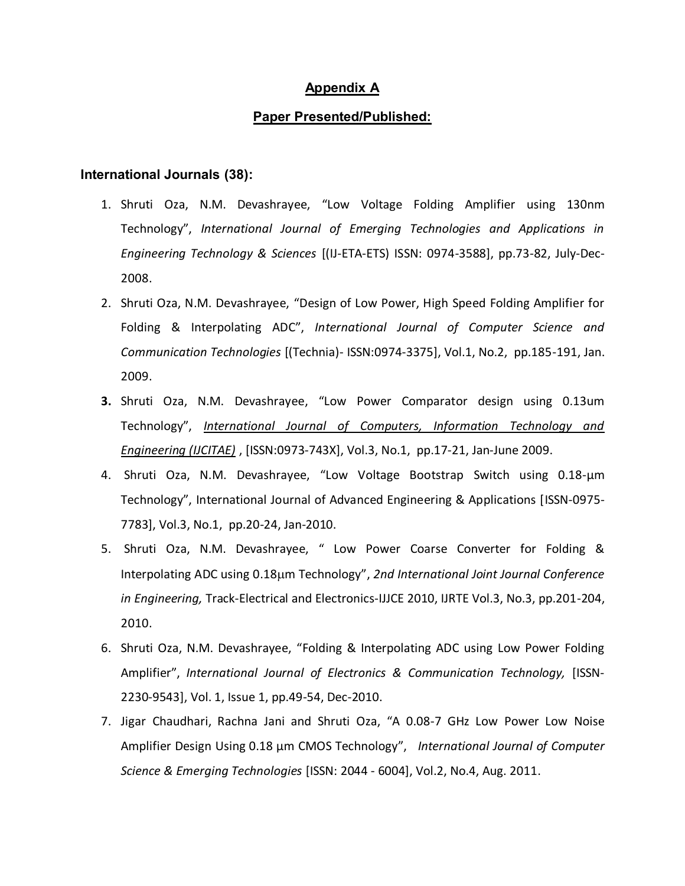## **Appendix A**

### **Paper Presented/Published:**

#### **International Journals (38):**

- 1. Shruti Oza, N.M. Devashrayee, "Low Voltage Folding Amplifier using 130nm Technology", *International Journal of Emerging Technologies and Applications in Engineering Technology & Sciences* [(IJ-ETA-ETS) ISSN: 0974-3588], pp.73-82, July-Dec-2008.
- 2. Shruti Oza, N.M. Devashrayee, "Design of Low Power, High Speed Folding Amplifier for Folding & Interpolating ADC", *International Journal of Computer Science and Communication Technologies* [(Technia)- ISSN:0974-3375], Vol.1, No.2, pp.185-191, Jan. 2009.
- **3.** Shruti Oza, N.M. Devashrayee, "Low Power Comparator design using 0.13um Technology", *[International Journal of Computers, Information Technology and](http://www.site.uottawa.ca/~massaf/IJCITAE/)  [Engineering \(IJCITAE\)](http://www.site.uottawa.ca/~massaf/IJCITAE/)* , [ISSN:0973-743X], Vol.3, No.1, pp.17-21, Jan-June 2009.
- 4. Shruti Oza, N.M. Devashrayee, "Low Voltage Bootstrap Switch using 0.18-µm Technology", International Journal of Advanced Engineering & Applications [ISSN-0975- 7783], Vol.3, No.1, pp.20-24, Jan-2010.
- 5. Shruti Oza, N.M. Devashrayee, " Low Power Coarse Converter for Folding & Interpolating ADC using 0.18µm Technology", 2nd International Joint Journal Conference *in Engineering,* Track-Electrical and Electronics-IJJCE 2010, IJRTE Vol.3, No.3, pp.201-204, 2010.
- 6. Shruti Oza, N.M. Devashrayee, "Folding & Interpolating ADC using Low Power Folding Amplifier", *International Journal of Electronics & Communication Technology,* [ISSN-2230-9543], Vol. 1, Issue 1, pp.49-54, Dec-2010.
- 7. Jigar Chaudhari, Rachna Jani and Shruti Oza, "A 0.08-7 GHz Low Power Low Noise Amplifier Design Using 0.18 μm CMOS Technology", *International Journal of Computer Science & Emerging Technologies* [ISSN: 2044 - 6004], Vol.2, No.4, Aug. 2011.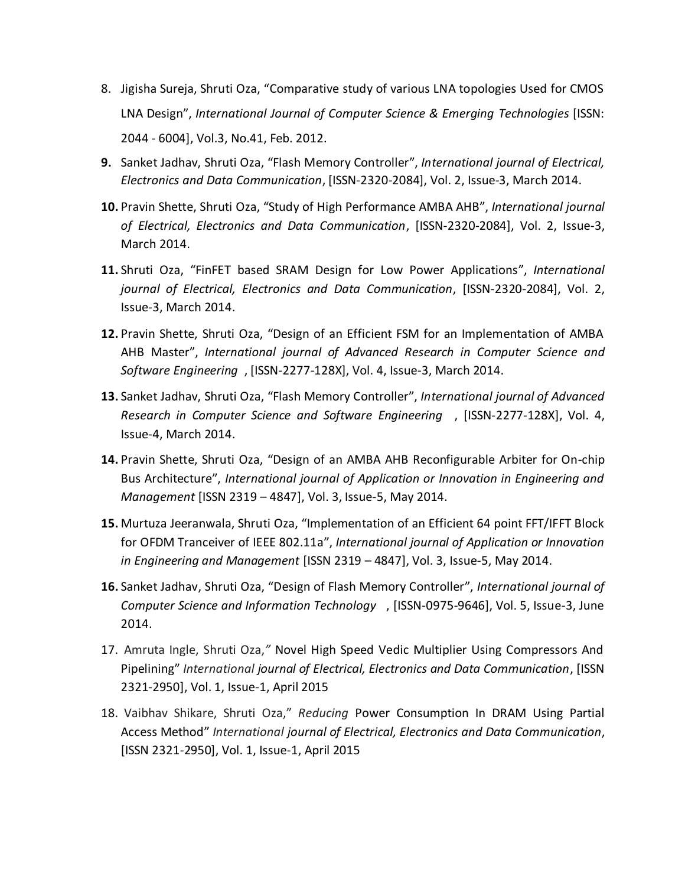- 8. Jigisha Sureja, Shruti Oza, "Comparative study of various LNA topologies Used for CMOS LNA Design", *International Journal of Computer Science & Emerging Technologies* [ISSN: 2044 - 6004], Vol.3, No.41, Feb. 2012.
- **9.** Sanket Jadhav, Shruti Oza, "Flash Memory Controller", *International journal of Electrical, Electronics and Data Communication*, [ISSN-2320-2084], Vol. 2, Issue-3, March 2014.
- **10.** Pravin Shette, Shruti Oza, "Study of High Performance AMBA AHB", *International journal of Electrical, Electronics and Data Communication*, [ISSN-2320-2084], Vol. 2, Issue-3, March 2014.
- **11.** Shruti Oza, "FinFET based SRAM Design for Low Power Applications", *International journal of Electrical, Electronics and Data Communication*, [ISSN-2320-2084], Vol. 2, Issue-3, March 2014.
- **12.** Pravin Shette, Shruti Oza, "Design of an Efficient FSM for an Implementation of AMBA AHB Master", *International journal of Advanced Research in Computer Science and Software Engineering* , [ISSN-2277-128X], Vol. 4, Issue-3, March 2014.
- **13.** Sanket Jadhav, Shruti Oza, "Flash Memory Controller", *International journal of Advanced Research in Computer Science and Software Engineering* , [ISSN-2277-128X], Vol. 4, Issue-4, March 2014.
- **14.** Pravin Shette, Shruti Oza, "Design of an AMBA AHB Reconfigurable Arbiter for On-chip Bus Architecture", *International journal of Application or Innovation in Engineering and Management* [ISSN 2319 – 4847], Vol. 3, Issue-5, May 2014.
- **15.** Murtuza Jeeranwala, Shruti Oza, "Implementation of an Efficient 64 point FFT/IFFT Block for OFDM Tranceiver of IEEE 802.11a", *International journal of Application or Innovation in Engineering and Management* [ISSN 2319 – 4847], Vol. 3, Issue-5, May 2014.
- **16.** Sanket Jadhav, Shruti Oza, "Design of Flash Memory Controller", *International journal of Computer Science and Information Technology* , [ISSN-0975-9646], Vol. 5, Issue-3, June 2014.
- 17. Amruta Ingle, Shruti Oza,*"* Novel High Speed Vedic Multiplier Using Compressors And Pipelining" *International journal of Electrical, Electronics and Data Communication*, [ISSN 2321-2950], Vol. 1, Issue-1, April 2015
- 18. Vaibhav Shikare, Shruti Oza," *Reducing* Power Consumption In DRAM Using Partial Access Method" *International journal of Electrical, Electronics and Data Communication*, [ISSN 2321-2950], Vol. 1, Issue-1, April 2015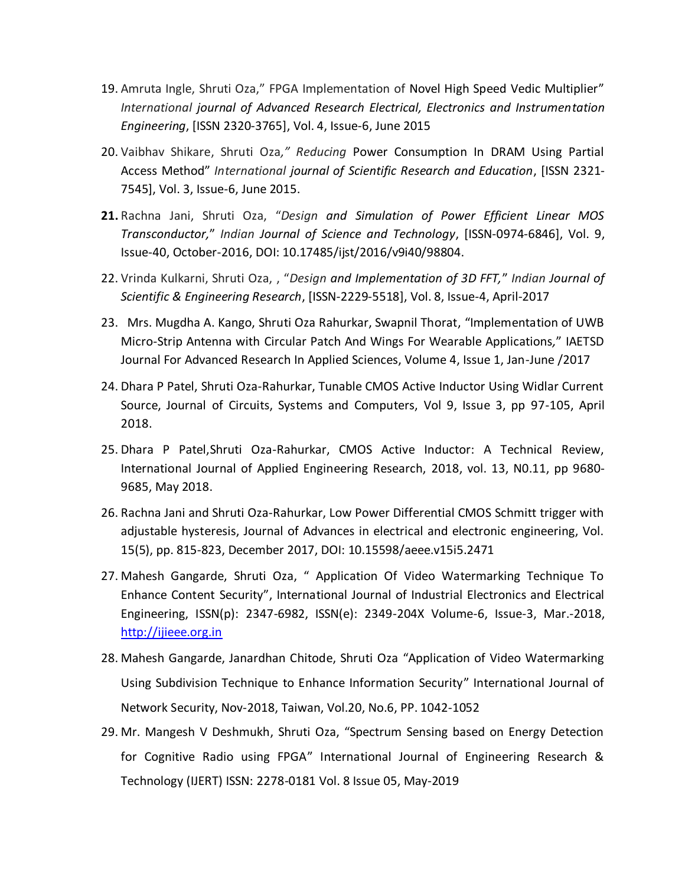- 19. Amruta Ingle, Shruti Oza," FPGA Implementation of Novel High Speed Vedic Multiplier" *International journal of Advanced Research Electrical, Electronics and Instrumentation Engineering*, [ISSN 2320-3765], Vol. 4, Issue-6, June 2015
- 20. Vaibhav Shikare, Shruti Oza*," Reducing* Power Consumption In DRAM Using Partial Access Method" *International journal of Scientific Research and Education*, [ISSN 2321- 7545], Vol. 3, Issue-6, June 2015.
- **21.** Rachna Jani, Shruti Oza, "*Design and Simulation of Power Efficient Linear MOS Transconductor,*" *Indian Journal of Science and Technology*, [ISSN-0974-6846], Vol. 9, Issue-40, October-2016, DOI: 10.17485/ijst/2016/v9i40/98804.
- 22. Vrinda Kulkarni, Shruti Oza, , "*Design and Implementation of 3D FFT,*" *Indian Journal of Scientific & Engineering Research*, [ISSN-2229-5518], Vol. 8, Issue-4, April-2017
- 23. Mrs. Mugdha A. Kango, Shruti Oza Rahurkar, Swapnil Thorat, "Implementation of UWB Micro-Strip Antenna with Circular Patch And Wings For Wearable Applications*,*" IAETSD Journal For Advanced Research In Applied Sciences, Volume 4, Issue 1, Jan-June /2017
- 24. Dhara P Patel, Shruti Oza-Rahurkar, Tunable CMOS Active Inductor Using Widlar Current Source, Journal of Circuits, Systems and Computers, Vol 9, Issue 3, pp 97-105, April 2018.
- 25. Dhara P Patel,Shruti Oza-Rahurkar, CMOS Active Inductor: A Technical Review, International Journal of Applied Engineering Research, 2018, vol. 13, N0.11, pp 9680- 9685, May 2018.
- 26. Rachna Jani and Shruti Oza-Rahurkar, Low Power Differential CMOS Schmitt trigger with adjustable hysteresis, Journal of Advances in electrical and electronic engineering, Vol. 15(5), pp. 815-823, December 2017, DOI: 10.15598/aeee.v15i5.2471
- 27. Mahesh Gangarde, Shruti Oza, " Application Of Video Watermarking Technique To Enhance Content Security", International Journal of Industrial Electronics and Electrical Engineering, ISSN(p): 2347-6982, ISSN(e): 2349-204X Volume-6, Issue-3, Mar.-2018, [http://ijieee.org.in](http://ijieee.org.in/)
- 28. Mahesh Gangarde, Janardhan Chitode, Shruti Oza "Application of Video Watermarking Using Subdivision Technique to Enhance Information Security" International Journal of Network Security, Nov-2018, Taiwan, Vol.20, No.6, PP. 1042-1052
- 29. Mr. Mangesh V Deshmukh, Shruti Oza, "Spectrum Sensing based on Energy Detection for Cognitive Radio using FPGA" International Journal of Engineering Research & Technology (IJERT) ISSN: 2278-0181 Vol. 8 Issue 05, May-2019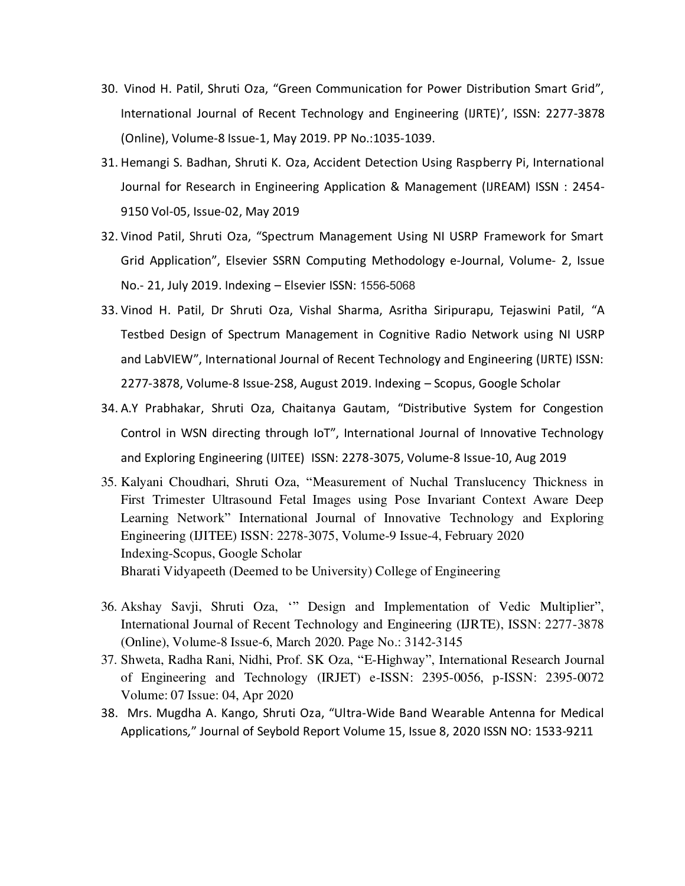- 30. Vinod H. Patil, Shruti Oza, "Green Communication for Power Distribution Smart Grid", International Journal of Recent Technology and Engineering (IJRTE)', ISSN: 2277-3878 (Online), Volume-8 Issue-1, May 2019. PP No.:1035-1039.
- 31. Hemangi S. Badhan, Shruti K. Oza, Accident Detection Using Raspberry Pi, International Journal for Research in Engineering Application & Management (IJREAM) ISSN : 2454- 9150 Vol-05, Issue-02, May 2019
- 32. Vinod Patil, Shruti Oza, "Spectrum Management Using NI USRP Framework for Smart Grid Application", Elsevier SSRN Computing Methodology e-Journal, Volume- 2, Issue No.- 21, July 2019. Indexing – Elsevier ISSN: 1556-5068
- 33. Vinod H. Patil, Dr Shruti Oza, Vishal Sharma, Asritha Siripurapu, Tejaswini Patil, "A Testbed Design of Spectrum Management in Cognitive Radio Network using NI USRP and LabVIEW", International Journal of Recent Technology and Engineering (IJRTE) ISSN: 2277-3878, Volume-8 Issue-2S8, August 2019. Indexing – Scopus, Google Scholar
- 34. A.Y Prabhakar, Shruti Oza, Chaitanya Gautam, "Distributive System for Congestion Control in WSN directing through IoT", International Journal of Innovative Technology and Exploring Engineering (IJITEE) ISSN: 2278-3075, Volume-8 Issue-10, Aug 2019
- 35. Kalyani Choudhari, Shruti Oza, "Measurement of Nuchal Translucency Thickness in First Trimester Ultrasound Fetal Images using Pose Invariant Context Aware Deep Learning Network" International Journal of Innovative Technology and Exploring Engineering (IJITEE) ISSN: 2278-3075, Volume-9 Issue-4, February 2020 Indexing-Scopus, Google Scholar Bharati Vidyapeeth (Deemed to be University) College of Engineering
- 36. Akshay Savji, Shruti Oza, '" Design and Implementation of Vedic Multiplier", International Journal of Recent Technology and Engineering (IJRTE), ISSN: 2277-3878 (Online), Volume-8 Issue-6, March 2020. Page No.: 3142-3145
- 37. Shweta, Radha Rani, Nidhi, Prof. SK Oza, "E-Highway", International Research Journal of Engineering and Technology (IRJET) e-ISSN: 2395-0056, p-ISSN: 2395-0072 Volume: 07 Issue: 04, Apr 2020
- 38. Mrs. Mugdha A. Kango, Shruti Oza, "Ultra-Wide Band Wearable Antenna for Medical Applications*,*" Journal of Seybold Report Volume 15, Issue 8, 2020 ISSN NO: 1533-9211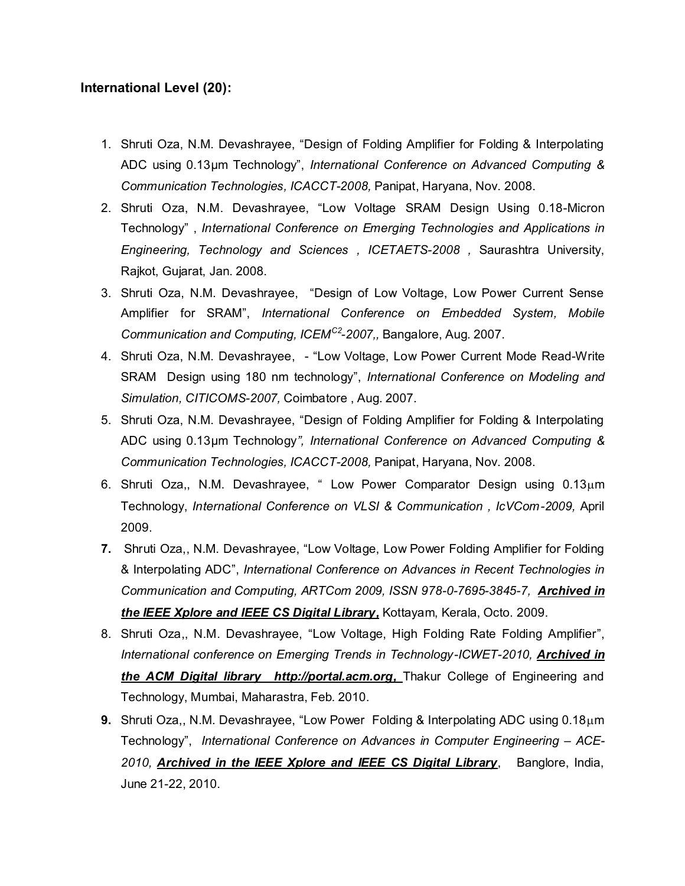## **International Level (20):**

- 1. Shruti Oza, N.M. Devashrayee, "Design of Folding Amplifier for Folding & Interpolating ADC using 0.13µm Technology", *International Conference on Advanced Computing & Communication Technologies, ICACCT-2008,* Panipat, Haryana, Nov. 2008.
- 2. Shruti Oza, N.M. Devashrayee, "Low Voltage SRAM Design Using 0.18-Micron Technology" , *International Conference on Emerging Technologies and Applications in Engineering, Technology and Sciences , ICETAETS-2008 ,* Saurashtra University, Rajkot, Gujarat, Jan. 2008.
- 3. Shruti Oza, N.M. Devashrayee, "Design of Low Voltage, Low Power Current Sense Amplifier for SRAM", *International Conference on Embedded System, Mobile Communication and Computing, ICEMC2-2007,,* Bangalore, Aug. 2007.
- 4. Shruti Oza, N.M. Devashrayee, "Low Voltage, Low Power Current Mode Read-Write SRAM Design using 180 nm technology", *International Conference on Modeling and Simulation, CITICOMS-2007,* Coimbatore , Aug. 2007.
- 5. Shruti Oza, N.M. Devashrayee, "Design of Folding Amplifier for Folding & Interpolating ADC using 0.13µm Technology*", International Conference on Advanced Computing & Communication Technologies, ICACCT-2008,* Panipat, Haryana, Nov. 2008.
- 6. Shruti Oza,, N.M. Devashrayee, " Low Power Comparator Design using  $0.13\mu m$ Technology, *International Conference on VLSI & Communication , IcVCom-2009,* April 2009.
- **7.** Shruti Oza,, N.M. Devashrayee, "Low Voltage, Low Power Folding Amplifier for Folding & Interpolating ADC", *International Conference on Advances in Recent Technologies in Communication and Computing, ARTCom 2009, ISSN 978-0-7695-3845-7, Archived in the IEEE Xplore and IEEE CS Digital Library,* Kottayam, Kerala, Octo. 2009.
- 8. Shruti Oza,, N.M. Devashrayee, "Low Voltage, High Folding Rate Folding Amplifier", International conference on Emerging Trends in Technology-ICWET-2010, **Archived in** *the ACM Digital library [http://portal.acm.org,](http://portal.acm.org/)* Thakur College of Engineering and Technology, Mumbai, Maharastra, Feb. 2010.
- 9. Shruti Oza,, N.M. Devashrayee, "Low Power Folding & Interpolating ADC using 0.18 $\mu$ m Technology", *International Conference on Advances in Computer Engineering – ACE-2010, Archived in the IEEE Xplore and IEEE CS Digital Library*, Banglore, India, June 21-22, 2010.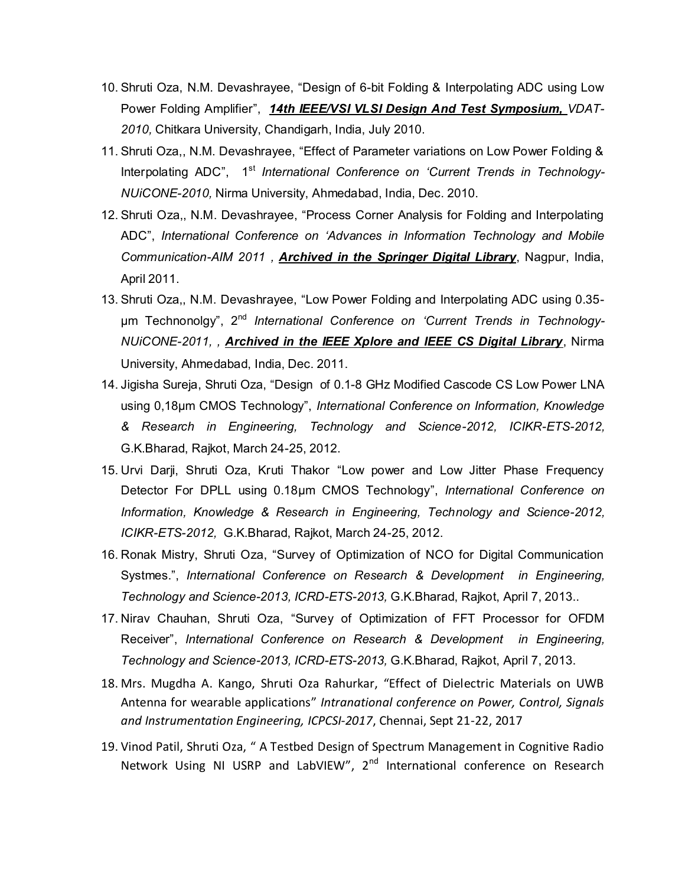- 10. Shruti Oza, N.M. Devashrayee, "Design of 6-bit Folding & Interpolating ADC using Low Power Folding Amplifier", *14th IEEE/VSI VLSI Design And Test Symposium, VDAT-2010,* Chitkara University, Chandigarh, India, July 2010.
- 11. Shruti Oza,, N.M. Devashrayee, "Effect of Parameter variations on Low Power Folding & Interpolating ADC", 1st *International Conference on 'Current Trends in Technology-NUiCONE-2010,* Nirma University, Ahmedabad, India, Dec. 2010.
- 12. Shruti Oza,, N.M. Devashrayee, "Process Corner Analysis for Folding and Interpolating ADC", *International Conference on 'Advances in Information Technology and Mobile Communication-AIM 2011 , Archived in the Springer Digital Library*, Nagpur, India, April 2011.
- 13. Shruti Oza,, N.M. Devashrayee, "Low Power Folding and Interpolating ADC using 0.35 μm Technonolgy", 2nd *International Conference on 'Current Trends in Technology-NUiCONE-2011, , Archived in the IEEE Xplore and IEEE CS Digital Library*, Nirma University, Ahmedabad, India, Dec. 2011.
- 14. Jigisha Sureja, Shruti Oza, "Design of 0.1-8 GHz Modified Cascode CS Low Power LNA using 0,18μm CMOS Technology", *International Conference on Information, Knowledge & Research in Engineering, Technology and Science-2012, ICIKR-ETS-2012,*  G.K.Bharad, Rajkot, March 24-25, 2012.
- 15. Urvi Darji, Shruti Oza, Kruti Thakor "Low power and Low Jitter Phase Frequency Detector For DPLL using 0.18µm CMOS Technology", *International Conference on Information, Knowledge & Research in Engineering, Technology and Science-2012, ICIKR-ETS-2012,* G.K.Bharad, Rajkot, March 24-25, 2012.
- 16. Ronak Mistry, Shruti Oza, "Survey of Optimization of NCO for Digital Communication Systmes.", *International Conference on Research & Development in Engineering, Technology and Science-2013, ICRD-ETS-2013,* G.K.Bharad, Rajkot, April 7, 2013..
- 17. Nirav Chauhan, Shruti Oza, "Survey of Optimization of FFT Processor for OFDM Receiver", *International Conference on Research & Development in Engineering, Technology and Science-2013, ICRD-ETS-2013,* G.K.Bharad, Rajkot, April 7, 2013.
- 18. Mrs. Mugdha A. Kango, Shruti Oza Rahurkar, "Effect of Dielectric Materials on UWB Antenna for wearable applications" *Intranational conference on Power, Control, Signals and Instrumentation Engineering, ICPCSI-2017*, Chennai, Sept 21-22, 2017
- 19. Vinod Patil, Shruti Oza, " A Testbed Design of Spectrum Management in Cognitive Radio Network Using NI USRP and LabVIEW", 2<sup>nd</sup> International conference on Research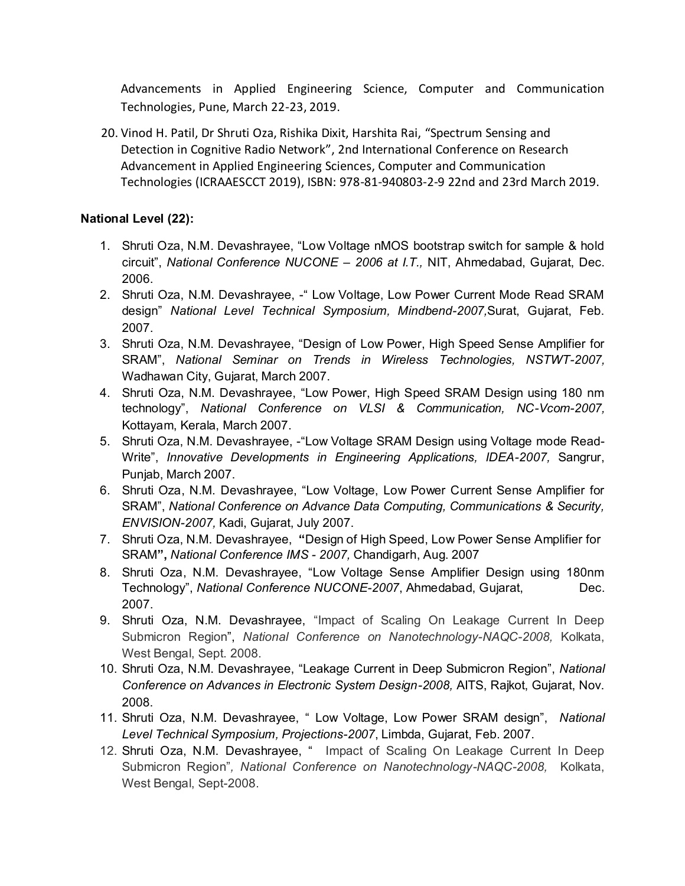Advancements in Applied Engineering Science, Computer and Communication Technologies, Pune, March 22-23, 2019.

20. Vinod H. Patil, Dr Shruti Oza, Rishika Dixit, Harshita Rai, "Spectrum Sensing and Detection in Cognitive Radio Network", 2nd International Conference on Research Advancement in Applied Engineering Sciences, Computer and Communication Technologies (ICRAAESCCT 2019), ISBN: 978-81-940803-2-9 22nd and 23rd March 2019.

## **National Level (22):**

- 1. Shruti Oza, N.M. Devashrayee, "Low Voltage nMOS bootstrap switch for sample & hold circuit", *National Conference NUCONE – 2006 at I.T.,* NIT, Ahmedabad, Gujarat, Dec. 2006.
- 2. Shruti Oza, N.M. Devashrayee, "Low Voltage, Low Power Current Mode Read SRAM design" *National Level Technical Symposium, Mindbend-2007,*Surat, Gujarat, Feb. 2007.
- 3. Shruti Oza, N.M. Devashrayee, "Design of Low Power, High Speed Sense Amplifier for SRAM", *National Seminar on Trends in Wireless Technologies, NSTWT-2007,*  Wadhawan City, Gujarat, March 2007.
- 4. Shruti Oza, N.M. Devashrayee, "Low Power, High Speed SRAM Design using 180 nm technology", *National Conference on VLSI & Communication, NC-Vcom-2007,* Kottayam, Kerala, March 2007.
- 5. Shruti Oza, N.M. Devashrayee, -"Low Voltage SRAM Design using Voltage mode Read-Write", *Innovative Developments in Engineering Applications, IDEA-2007,* Sangrur, Punjab, March 2007.
- 6. Shruti Oza, N.M. Devashrayee, "Low Voltage, Low Power Current Sense Amplifier for SRAM", *National Conference on Advance Data Computing, Communications & Security, ENVISION-2007,* Kadi, Gujarat, July 2007.
- 7. Shruti Oza, N.M. Devashrayee, **"**Design of High Speed, Low Power Sense Amplifier for SRAM**",** *National Conference IMS - 2007,* Chandigarh, Aug. 2007
- 8. Shruti Oza, N.M. Devashrayee, "Low Voltage Sense Amplifier Design using 180nm Technology", *National Conference NUCONE-2007*, Ahmedabad, Gujarat, Dec. 2007.
- 9. Shruti Oza, N.M. Devashrayee, "Impact of Scaling On Leakage Current In Deep Submicron Region", *National Conference on Nanotechnology-NAQC-2008,* Kolkata, West Bengal, Sept. 2008.
- 10. Shruti Oza, N.M. Devashrayee, "Leakage Current in Deep Submicron Region", *National Conference on Advances in Electronic System Design-2008,* AITS, Rajkot, Gujarat, Nov. 2008.
- 11. Shruti Oza, N.M. Devashrayee, " Low Voltage, Low Power SRAM design", *National Level Technical Symposium, Projections-2007*, Limbda, Gujarat, Feb. 2007.
- 12. Shruti Oza, N.M. Devashrayee, " Impact of Scaling On Leakage Current In Deep Submicron Region"*, National Conference on Nanotechnology-NAQC-2008,* Kolkata, West Bengal, Sept-2008.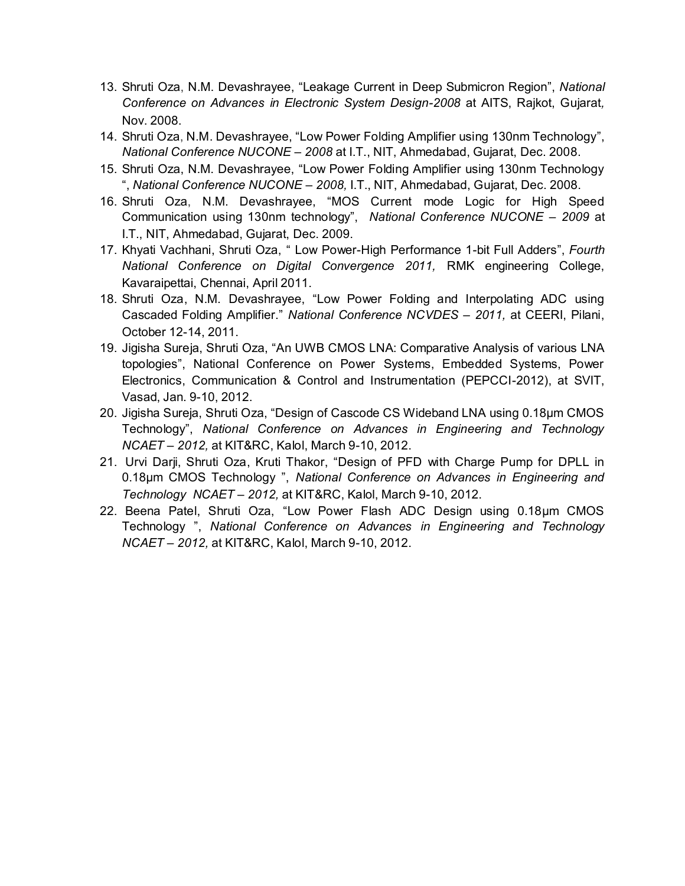- 13. Shruti Oza, N.M. Devashrayee, "Leakage Current in Deep Submicron Region", *National Conference on Advances in Electronic System Design-2008* at AITS, Rajkot, Gujarat*,* Nov. 2008.
- 14. Shruti Oza, N.M. Devashrayee, "Low Power Folding Amplifier using 130nm Technology", *National Conference NUCONE – 2008* at I.T., NIT, Ahmedabad, Gujarat, Dec. 2008.
- 15. Shruti Oza, N.M. Devashrayee, "Low Power Folding Amplifier using 130nm Technology ", *National Conference NUCONE – 2008,* I.T., NIT, Ahmedabad, Gujarat, Dec. 2008.
- 16. Shruti Oza, N.M. Devashrayee, "MOS Current mode Logic for High Speed Communication using 130nm technology", *National Conference NUCONE – 2009* at I.T., NIT, Ahmedabad, Gujarat, Dec. 2009.
- 17. Khyati Vachhani, Shruti Oza, " Low Power-High Performance 1-bit Full Adders", *Fourth National Conference on Digital Convergence 2011,* RMK engineering College, Kavaraipettai, Chennai, April 2011.
- 18. Shruti Oza, N.M. Devashrayee, "Low Power Folding and Interpolating ADC using Cascaded Folding Amplifier." *National Conference NCVDES – 2011,* at CEERI, Pilani, October 12-14, 2011.
- 19. Jigisha Sureja, Shruti Oza, "An UWB CMOS LNA: Comparative Analysis of various LNA topologies", National Conference on Power Systems, Embedded Systems, Power Electronics, Communication & Control and Instrumentation (PEPCCI-2012), at SVIT, Vasad, Jan. 9-10, 2012.
- 20. Jigisha Sureja, Shruti Oza, "Design of Cascode CS Wideband LNA using 0.18µm CMOS Technology", *National Conference on Advances in Engineering and Technology NCAET – 2012,* at KIT&RC, Kalol, March 9-10, 2012.
- 21. Urvi Darji, Shruti Oza, Kruti Thakor, "Design of PFD with Charge Pump for DPLL in 0.18µm CMOS Technology ", *National Conference on Advances in Engineering and Technology NCAET – 2012,* at KIT&RC, Kalol, March 9-10, 2012.
- 22. Beena Patel, Shruti Oza, "Low Power Flash ADC Design using 0.18µm CMOS Technology ", *National Conference on Advances in Engineering and Technology NCAET – 2012,* at KIT&RC, Kalol, March 9-10, 2012.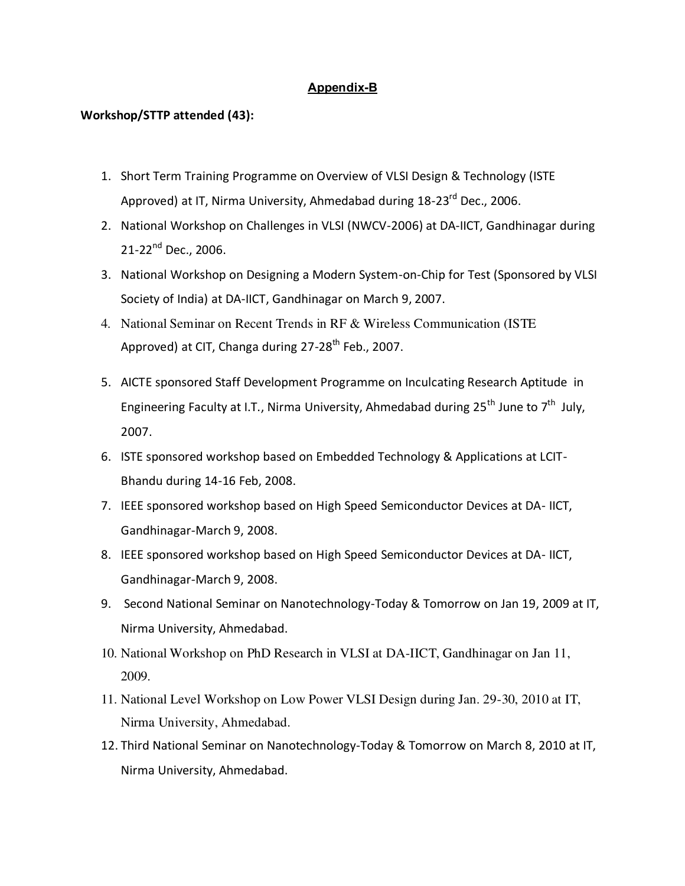#### **Appendix-B**

#### **Workshop/STTP attended (43):**

- 1. Short Term Training Programme on Overview of VLSI Design & Technology (ISTE Approved) at IT, Nirma University, Ahmedabad during 18-23<sup>rd</sup> Dec., 2006.
- 2. National Workshop on Challenges in VLSI (NWCV-2006) at DA-IICT, Gandhinagar during 21-22<sup>nd</sup> Dec., 2006.
- 3. National Workshop on Designing a Modern System-on-Chip for Test (Sponsored by VLSI Society of India) at DA-IICT, Gandhinagar on March 9, 2007.
- 4. National Seminar on Recent Trends in RF & Wireless Communication (ISTE Approved) at CIT, Changa during 27-28<sup>th</sup> Feb., 2007.
- 5. AICTE sponsored Staff Development Programme on Inculcating Research Aptitude in Engineering Faculty at I.T., Nirma University, Ahmedabad during 25<sup>th</sup> June to 7<sup>th</sup> July, 2007.
- 6. ISTE sponsored workshop based on Embedded Technology & Applications at LCIT-Bhandu during 14-16 Feb, 2008.
- 7. IEEE sponsored workshop based on High Speed Semiconductor Devices at DA- IICT, Gandhinagar-March 9, 2008.
- 8. IEEE sponsored workshop based on High Speed Semiconductor Devices at DA- IICT, Gandhinagar-March 9, 2008.
- 9. Second National Seminar on Nanotechnology-Today & Tomorrow on Jan 19, 2009 at IT, Nirma University, Ahmedabad.
- 10. National Workshop on PhD Research in VLSI at DA-IICT, Gandhinagar on Jan 11, 2009.
- 11. National Level Workshop on Low Power VLSI Design during Jan. 29-30, 2010 at IT, Nirma University, Ahmedabad.
- 12. Third National Seminar on Nanotechnology-Today & Tomorrow on March 8, 2010 at IT, Nirma University, Ahmedabad.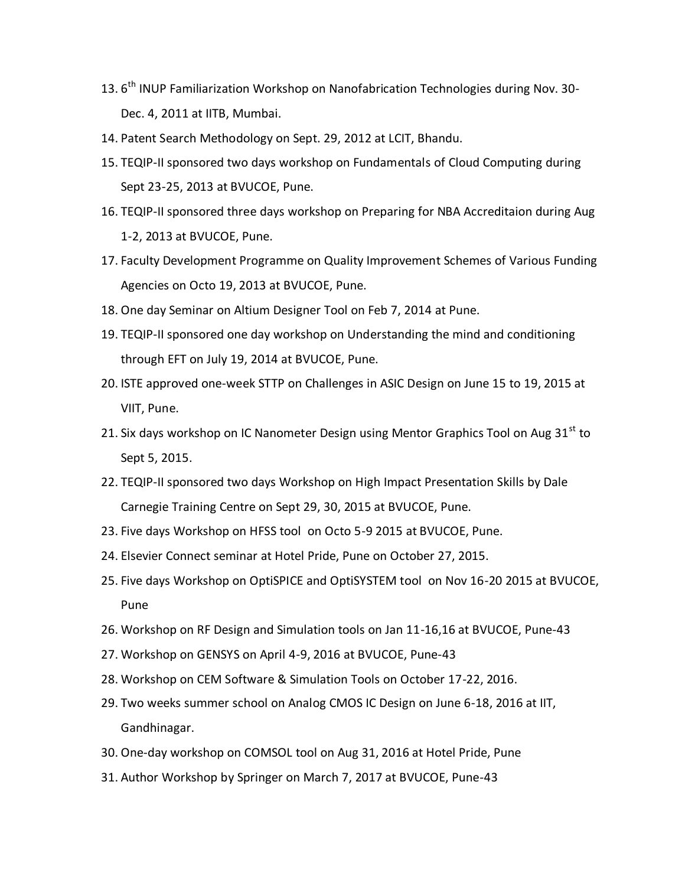- 13. 6<sup>th</sup> INUP Familiarization Workshop on Nanofabrication Technologies during Nov. 30-Dec. 4, 2011 at IITB, Mumbai.
- 14. Patent Search Methodology on Sept. 29, 2012 at LCIT, Bhandu.
- 15. TEQIP-II sponsored two days workshop on Fundamentals of Cloud Computing during Sept 23-25, 2013 at BVUCOE, Pune.
- 16. TEQIP-II sponsored three days workshop on Preparing for NBA Accreditaion during Aug 1-2, 2013 at BVUCOE, Pune.
- 17. Faculty Development Programme on Quality Improvement Schemes of Various Funding Agencies on Octo 19, 2013 at BVUCOE, Pune.
- 18. One day Seminar on Altium Designer Tool on Feb 7, 2014 at Pune.
- 19. TEQIP-II sponsored one day workshop on Understanding the mind and conditioning through EFT on July 19, 2014 at BVUCOE, Pune.
- 20. ISTE approved one-week STTP on Challenges in ASIC Design on June 15 to 19, 2015 at VIIT, Pune.
- 21. Six days workshop on IC Nanometer Design using Mentor Graphics Tool on Aug 31<sup>st</sup> to Sept 5, 2015.
- 22. TEQIP-II sponsored two days Workshop on High Impact Presentation Skills by Dale Carnegie Training Centre on Sept 29, 30, 2015 at BVUCOE, Pune.
- 23. Five days Workshop on HFSS tool on Octo 5-9 2015 at BVUCOE, Pune.
- 24. Elsevier Connect seminar at Hotel Pride, Pune on October 27, 2015.
- 25. Five days Workshop on OptiSPICE and OptiSYSTEM tool on Nov 16-20 2015 at BVUCOE, Pune
- 26. Workshop on RF Design and Simulation tools on Jan 11-16,16 at BVUCOE, Pune-43
- 27. Workshop on GENSYS on April 4-9, 2016 at BVUCOE, Pune-43
- 28. Workshop on CEM Software & Simulation Tools on October 17-22, 2016.
- 29. Two weeks summer school on Analog CMOS IC Design on June 6-18, 2016 at IIT, Gandhinagar.
- 30. One-day workshop on COMSOL tool on Aug 31, 2016 at Hotel Pride, Pune
- 31. Author Workshop by Springer on March 7, 2017 at BVUCOE, Pune-43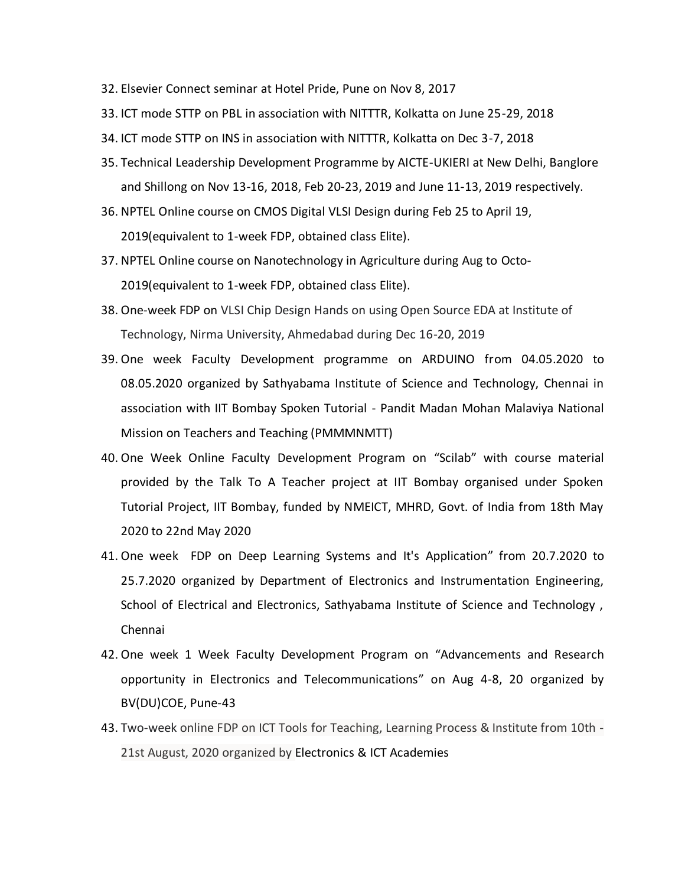- 32. Elsevier Connect seminar at Hotel Pride, Pune on Nov 8, 2017
- 33. ICT mode STTP on PBL in association with NITTTR, Kolkatta on June 25-29, 2018
- 34. ICT mode STTP on INS in association with NITTTR, Kolkatta on Dec 3-7, 2018
- 35. Technical Leadership Development Programme by AICTE-UKIERI at New Delhi, Banglore and Shillong on Nov 13-16, 2018, Feb 20-23, 2019 and June 11-13, 2019 respectively.
- 36. NPTEL Online course on CMOS Digital VLSI Design during Feb 25 to April 19, 2019(equivalent to 1-week FDP, obtained class Elite).
- 37. NPTEL Online course on Nanotechnology in Agriculture during Aug to Octo-2019(equivalent to 1-week FDP, obtained class Elite).
- 38. One-week FDP on VLSI Chip Design Hands on using Open Source EDA at Institute of Technology, Nirma University, Ahmedabad during Dec 16-20, 2019
- 39. One week Faculty Development programme on ARDUINO from 04.05.2020 to 08.05.2020 organized by Sathyabama Institute of Science and Technology, Chennai in association with IIT Bombay Spoken Tutorial - Pandit Madan Mohan Malaviya National Mission on Teachers and Teaching (PMMMNMTT)
- 40. One Week Online Faculty Development Program on "Scilab" with course material provided by the Talk To A Teacher project at IIT Bombay organised under Spoken Tutorial Project, IIT Bombay, funded by NMEICT, MHRD, Govt. of India from 18th May 2020 to 22nd May 2020
- 41. One week FDP on Deep Learning Systems and It's Application" from 20.7.2020 to 25.7.2020 organized by Department of Electronics and Instrumentation Engineering, School of Electrical and Electronics, Sathyabama Institute of Science and Technology , Chennai
- 42. One week 1 Week Faculty Development Program on "Advancements and Research opportunity in Electronics and Telecommunications" on Aug 4-8, 20 organized by BV(DU)COE, Pune-43
- 43. Two-week online FDP on ICT Tools for Teaching, Learning Process & Institute from 10th 21st August, 2020 organized by Electronics & ICT Academies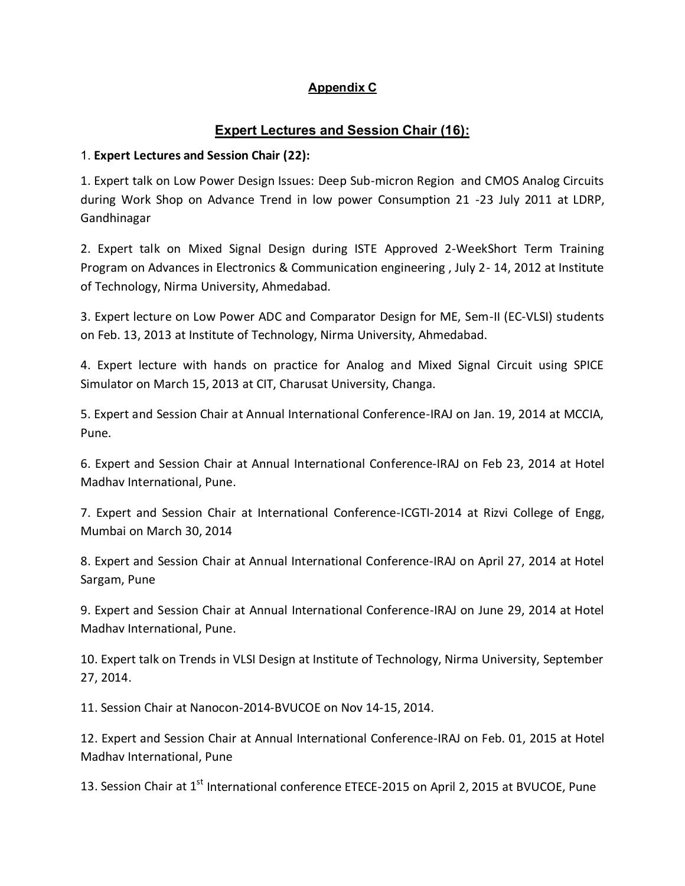## **Appendix C**

# **Expert Lectures and Session Chair (16):**

## 1. **Expert Lectures and Session Chair (22):**

1. Expert talk on Low Power Design Issues: Deep Sub-micron Region and CMOS Analog Circuits during Work Shop on Advance Trend in low power Consumption 21 -23 July 2011 at LDRP, Gandhinagar

2. Expert talk on Mixed Signal Design during ISTE Approved 2-WeekShort Term Training Program on Advances in Electronics & Communication engineering , July 2- 14, 2012 at Institute of Technology, Nirma University, Ahmedabad.

3. Expert lecture on Low Power ADC and Comparator Design for ME, Sem-II (EC-VLSI) students on Feb. 13, 2013 at Institute of Technology, Nirma University, Ahmedabad.

4. Expert lecture with hands on practice for Analog and Mixed Signal Circuit using SPICE Simulator on March 15, 2013 at CIT, Charusat University, Changa.

5. Expert and Session Chair at Annual International Conference-IRAJ on Jan. 19, 2014 at MCCIA, Pune.

6. Expert and Session Chair at Annual International Conference-IRAJ on Feb 23, 2014 at Hotel Madhav International, Pune.

7. Expert and Session Chair at International Conference-ICGTI-2014 at Rizvi College of Engg, Mumbai on March 30, 2014

8. Expert and Session Chair at Annual International Conference-IRAJ on April 27, 2014 at Hotel Sargam, Pune

9. Expert and Session Chair at Annual International Conference-IRAJ on June 29, 2014 at Hotel Madhav International, Pune.

10. Expert talk on Trends in VLSI Design at Institute of Technology, Nirma University, September 27, 2014.

11. Session Chair at Nanocon-2014-BVUCOE on Nov 14-15, 2014.

12. Expert and Session Chair at Annual International Conference-IRAJ on Feb. 01, 2015 at Hotel Madhav International, Pune

13. Session Chair at 1<sup>st</sup> International conference ETECE-2015 on April 2, 2015 at BVUCOE, Pune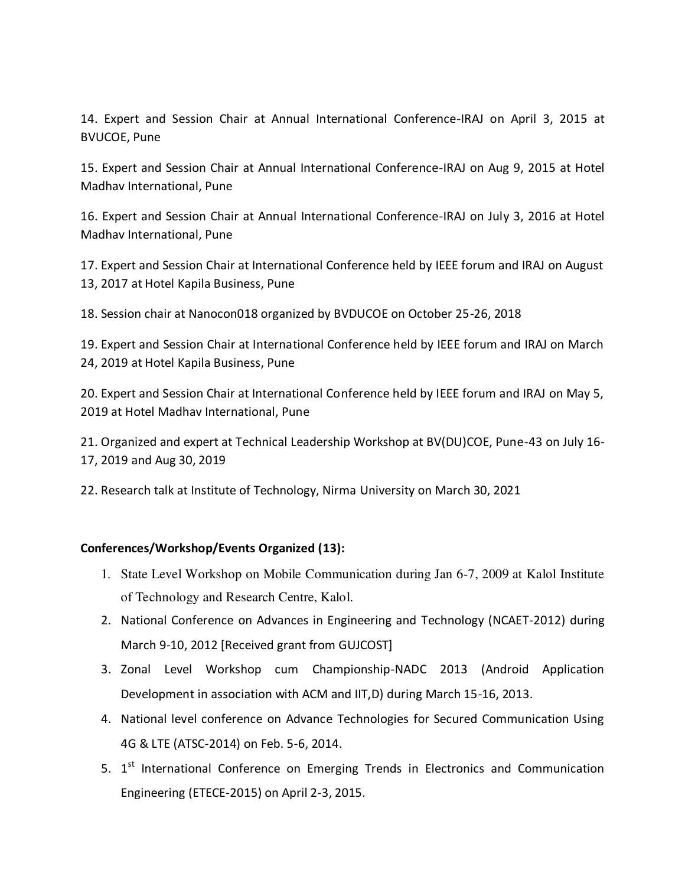14. Expert and Session Chair at Annual International Conference-IRAJ on April 3, 2015 at BVUCOE, Pune

15. Expert and Session Chair at Annual International Conference-IRAJ on Aug 9, 2015 at Hotel Madhav International, Pune

16. Expert and Session Chair at Annual International Conference-IRAJ on July 3, 2016 at Hotel Madhav International, Pune

17. Expert and Session Chair at International Conference held by IEEE forum and IRAJ on August 13, 2017 at Hotel Kapila Business, Pune

18. Session chair at Nanocon018 organized by BVDUCOE on October 25-26, 2018

19. Expert and Session Chair at International Conference held by IEEE forum and IRAJ on March 24, 2019 at Hotel Kapila Business, Pune

20. Expert and Session Chair at International Conference held by IEEE forum and IRAJ on May 5, 2019 at Hotel Madhav International, Pune

21. Organized and expert at Technical Leadership Workshop at BV(DU)COE, Pune-43 on July 16- 17, 2019 and Aug 30, 2019

22. Research talk at Institute of Technology, Nirma University on March 30, 2021

## **Conferences/Workshop/Events Organized (13):**

- 1. State Level Workshop on Mobile Communication during Jan 6-7, 2009 at Kalol Institute of Technology and Research Centre, Kalol.
- 2. National Conference on Advances in Engineering and Technology (NCAET-2012) during March 9-10, 2012 [Received grant from GUJCOST]
- 3. Zonal Level Workshop cum Championship-NADC 2013 (Android Application Development in association with ACM and IIT,D) during March 15-16, 2013.
- 4. National level conference on Advance Technologies for Secured Communication Using 4G & LTE (ATSC-2014) on Feb. 5-6, 2014.
- 5. 1<sup>st</sup> International Conference on Emerging Trends in Electronics and Communication Engineering (ETECE-2015) on April 2-3, 2015.